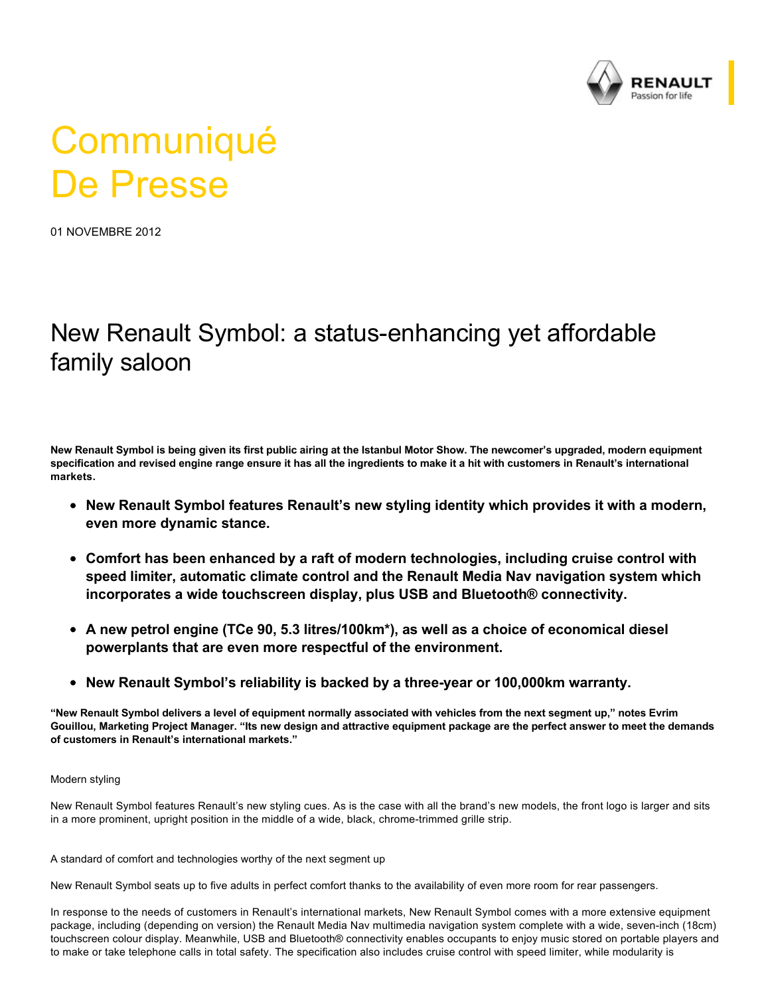

## **Communiqué** De Presse

01 NOVEMBRE 2012

## New Renault Symbol: a status-enhancing yet affordable family saloon

**New Renault Symbol is being given its first public airing at the Istanbul Motor Show. The newcomer's upgraded, modern equipment specification and revised engine range ensure it has all the ingredients to make it a hit with customers in Renault's international markets.**

- **New Renault Symbol features Renault's new styling identity which provides it with a modern, even more dynamic stance.**
- **Comfort has been enhanced by a raft of modern technologies, including cruise control with speed limiter, automatic climate control and the Renault Media Nav navigation system which incorporates a wide touchscreen display, plus USB and Bluetooth® connectivity.**
- **A new petrol engine (TCe 90, 5.3 litres/100km\*), as well as a choice of economical diesel powerplants that are even more respectful of the environment.**
- **New Renault Symbol's reliability is backed by a threeyear or 100,000km warranty.**

**"New Renault Symbol delivers a level of equipment normally associated with vehicles from the next segment up," notes Evrim Gouillou, Marketing Project Manager. "Its new design and attractive equipment package are the perfect answer to meet the demands of customers in Renault's international markets."**

## Modern styling

New Renault Symbol features Renault's new styling cues. As is the case with all the brand's new models, the front logo is larger and sits in a more prominent, upright position in the middle of a wide, black, chrome-trimmed grille strip.

A standard of comfort and technologies worthy of the next segment up

New Renault Symbol seats up to five adults in perfect comfort thanks to the availability of even more room for rear passengers.

In response to the needs of customers in Renault's international markets, New Renault Symbol comes with a more extensive equipment package, including (depending on version) the Renault Media Nav multimedia navigation system complete with a wide, seven-inch (18cm) touchscreen colour display. Meanwhile, USB and Bluetooth® connectivity enables occupants to enjoy music stored on portable players and to make or take telephone calls in total safety. The specification also includes cruise control with speed limiter, while modularity is